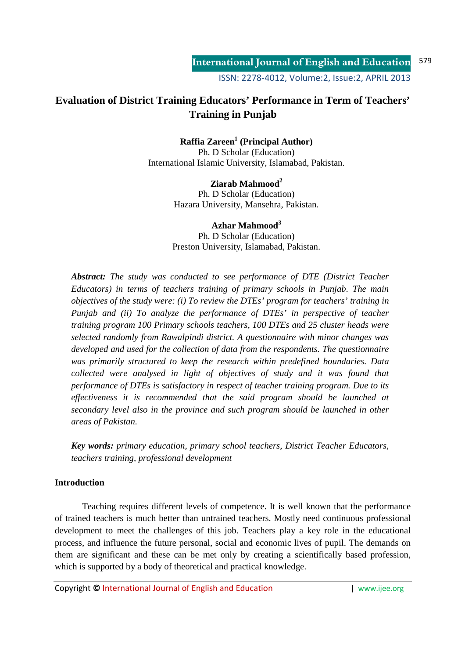# **Evaluation of District Training Educators' Performance in Term of Teachers' Training in Punjab**

## **Raffia Zareen<sup>1</sup> (Principal Author)**

Ph. D Scholar (Education) International Islamic University, Islamabad, Pakistan.

#### **Ziarab Mahmood<sup>2</sup>**

Ph. D Scholar (Education) Hazara University, Mansehra, Pakistan.

**Azhar Mahmood<sup>3</sup>** Ph. D Scholar (Education) Preston University, Islamabad, Pakistan.

*Abstract: The study was conducted to see performance of DTE (District Teacher Educators) in terms of teachers training of primary schools in Punjab. The main objectives of the study were: (i) To review the DTEs' program for teachers' training in Punjab and (ii) To analyze the performance of DTEs' in perspective of teacher training program 100 Primary schools teachers, 100 DTEs and 25 cluster heads were selected randomly from Rawalpindi district. A questionnaire with minor changes was developed and used for the collection of data from the respondents. The questionnaire was primarily structured to keep the research within predefined boundaries. Data collected were analysed in light of objectives of study and it was found that performance of DTEs is satisfactory in respect of teacher training program. Due to its effectiveness it is recommended that the said program should be launched at secondary level also in the province and such program should be launched in other areas of Pakistan.* 

*Key words: primary education, primary school teachers, District Teacher Educators, teachers training, professional development* 

## **Introduction**

 Teaching requires different levels of competence. It is well known that the performance of trained teachers is much better than untrained teachers. Mostly need continuous professional development to meet the challenges of this job. Teachers play a key role in the educational process, and influence the future personal, social and economic lives of pupil. The demands on them are significant and these can be met only by creating a scientifically based profession, which is supported by a body of theoretical and practical knowledge.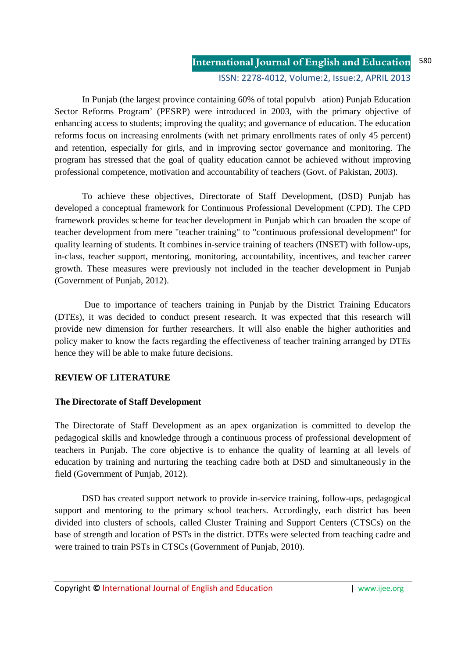#### **International Journal of English and Education** ISSN: 2278-4012, Volume:2, Issue:2, APRIL 2013 580

 In Punjab (the largest province containing 60% of total populvb ation) Punjab Education Sector Reforms Program' (PESRP) were introduced in 2003, with the primary objective of enhancing access to students; improving the quality; and governance of education. The education reforms focus on increasing enrolments (with net primary enrollments rates of only 45 percent) and retention, especially for girls, and in improving sector governance and monitoring. The program has stressed that the goal of quality education cannot be achieved without improving professional competence, motivation and accountability of teachers (Govt. of Pakistan, 2003).

 To achieve these objectives, Directorate of Staff Development, (DSD) Punjab has developed a conceptual framework for Continuous Professional Development (CPD). The CPD framework provides scheme for teacher development in Punjab which can broaden the scope of teacher development from mere "teacher training" to "continuous professional development" for quality learning of students. It combines in-service training of teachers (INSET) with follow-ups, in-class, teacher support, mentoring, monitoring, accountability, incentives, and teacher career growth. These measures were previously not included in the teacher development in Punjab (Government of Punjab, 2012).

 Due to importance of teachers training in Punjab by the District Training Educators (DTEs), it was decided to conduct present research. It was expected that this research will provide new dimension for further researchers. It will also enable the higher authorities and policy maker to know the facts regarding the effectiveness of teacher training arranged by DTEs hence they will be able to make future decisions.

## **REVIEW OF LITERATURE**

## **The Directorate of Staff Development**

The Directorate of Staff Development as an apex organization is committed to develop the pedagogical skills and knowledge through a continuous process of professional development of teachers in Punjab. The core objective is to enhance the quality of learning at all levels of education by training and nurturing the teaching cadre both at DSD and simultaneously in the field (Government of Punjab, 2012).

 DSD has created support network to provide in-service training, follow-ups, pedagogical support and mentoring to the primary school teachers. Accordingly, each district has been divided into clusters of schools, called Cluster Training and Support Centers (CTSCs) on the base of strength and location of PSTs in the district. DTEs were selected from teaching cadre and were trained to train PSTs in CTSCs (Government of Punjab, 2010).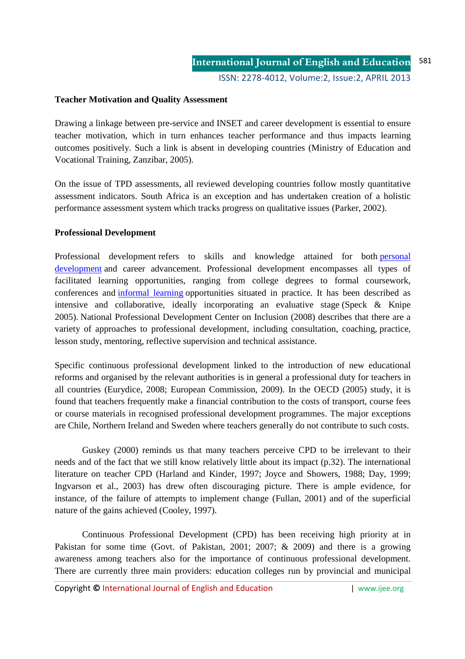#### **Teacher Motivation and Quality Assessment**

Drawing a linkage between pre-service and INSET and career development is essential to ensure teacher motivation, which in turn enhances teacher performance and thus impacts learning outcomes positively. Such a link is absent in developing countries (Ministry of Education and Vocational Training, Zanzibar, 2005).

On the issue of TPD assessments, all reviewed developing countries follow mostly quantitative assessment indicators. South Africa is an exception and has undertaken creation of a holistic performance assessment system which tracks progress on qualitative issues (Parker, 2002).

#### **Professional Development**

Professional development refers to skills and knowledge attained for both personal development and career advancement. Professional development encompasses all types of facilitated learning opportunities, ranging from college degrees to formal coursework, conferences and informal learning opportunities situated in practice. It has been described as intensive and collaborative, ideally incorporating an evaluative stage (Speck & Knipe 2005). National Professional Development Center on Inclusion (2008) describes that there are a variety of approaches to professional development, including consultation, coaching, practice, lesson study, mentoring, reflective supervision and technical assistance.

Specific continuous professional development linked to the introduction of new educational reforms and organised by the relevant authorities is in general a professional duty for teachers in all countries (Eurydice, 2008; European Commission, 2009). In the OECD (2005) study, it is found that teachers frequently make a financial contribution to the costs of transport, course fees or course materials in recognised professional development programmes. The major exceptions are Chile, Northern Ireland and Sweden where teachers generally do not contribute to such costs.

 Guskey (2000) reminds us that many teachers perceive CPD to be irrelevant to their needs and of the fact that we still know relatively little about its impact (p.32). The international literature on teacher CPD (Harland and Kinder, 1997; Joyce and Showers, 1988; Day, 1999; Ingvarson et al., 2003) has drew often discouraging picture. There is ample evidence, for instance, of the failure of attempts to implement change (Fullan, 2001) and of the superficial nature of the gains achieved (Cooley, 1997).

 Continuous Professional Development (CPD) has been receiving high priority at in Pakistan for some time (Govt. of Pakistan, 2001; 2007; & 2009) and there is a growing awareness among teachers also for the importance of continuous professional development. There are currently three main providers: education colleges run by provincial and municipal

Copyright **©** International Journal of English and Education | www.ijee.org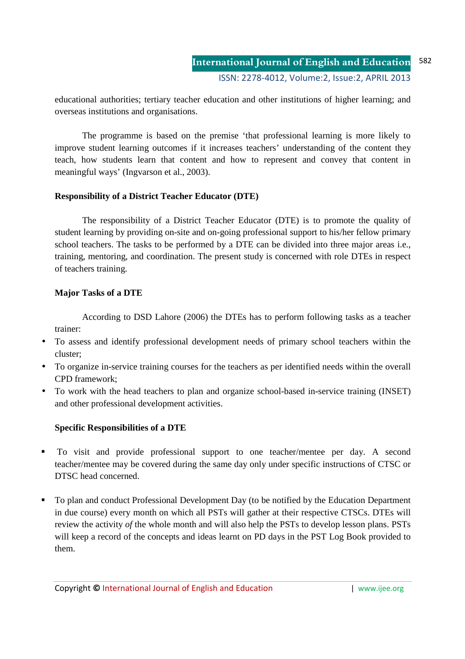educational authorities; tertiary teacher education and other institutions of higher learning; and overseas institutions and organisations.

 The programme is based on the premise 'that professional learning is more likely to improve student learning outcomes if it increases teachers' understanding of the content they teach, how students learn that content and how to represent and convey that content in meaningful ways' (Ingvarson et al., 2003).

## **Responsibility of a District Teacher Educator (DTE)**

 The responsibility of a District Teacher Educator (DTE) is to promote the quality of student learning by providing on-site and on-going professional support to his/her fellow primary school teachers. The tasks to be performed by a DTE can be divided into three major areas i.e., training, mentoring, and coordination. The present study is concerned with role DTEs in respect of teachers training.

## **Major Tasks of a DTE**

 According to DSD Lahore (2006) the DTEs has to perform following tasks as a teacher trainer:

- To assess and identify professional development needs of primary school teachers within the cluster;
- To organize in-service training courses for the teachers as per identified needs within the overall CPD framework;
- To work with the head teachers to plan and organize school-based in**-**service training (INSET) and other professional development activities.

## **Specific Responsibilities of a DTE**

- To visit and provide professional support to one teacher/mentee per day. A second teacher/mentee may be covered during the same day only under specific instructions of CTSC or DTSC head concerned.
- To plan and conduct Professional Development Day (to be notified by the Education Department in due course) every month on which all PSTs will gather at their respective CTSCs. DTEs will review the activity *of* the whole month and will also help the PSTs to develop lesson plans. PSTs will keep a record of the concepts and ideas learnt on PD days in the PST Log Book provided to them.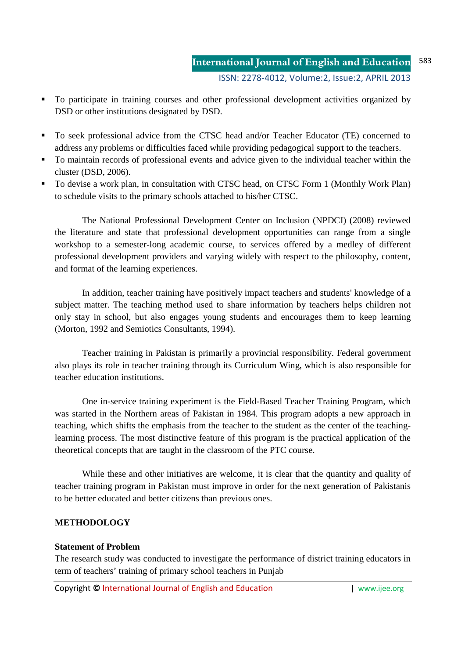- To participate in training courses and other professional development activities organized by DSD or other institutions designated by DSD.
- To seek professional advice from the CTSC head and/or Teacher Educator (TE) concerned to address any problems or difficulties faced while providing pedagogical support to the teachers.
- To maintain records of professional events and advice given to the individual teacher within the cluster (DSD, 2006).
- To devise a work plan, in consultation with CTSC head, on CTSC Form 1 (Monthly Work Plan) to schedule visits to the primary schools attached to his/her CTSC.

 The National Professional Development Center on Inclusion (NPDCI) (2008) reviewed the literature and state that professional development opportunities can range from a single workshop to a semester-long academic course, to services offered by a medley of different professional development providers and varying widely with respect to the philosophy, content, and format of the learning experiences.

 In addition, teacher training have positively impact teachers and students' knowledge of a subject matter. The teaching method used to share information by teachers helps children not only stay in school, but also engages young students and encourages them to keep learning (Morton, 1992 and Semiotics Consultants, 1994).

Teacher training in Pakistan is primarily a provincial responsibility. Federal government also plays its role in teacher training through its Curriculum Wing, which is also responsible for teacher education institutions.

One in-service training experiment is the Field-Based Teacher Training Program, which was started in the Northern areas of Pakistan in 1984. This program adopts a new approach in teaching, which shifts the emphasis from the teacher to the student as the center of the teachinglearning process. The most distinctive feature of this program is the practical application of the theoretical concepts that are taught in the classroom of the PTC course.

While these and other initiatives are welcome, it is clear that the quantity and quality of teacher training program in Pakistan must improve in order for the next generation of Pakistanis to be better educated and better citizens than previous ones.

## **METHODOLOGY**

#### **Statement of Problem**

The research study was conducted to investigate the performance of district training educators in term of teachers' training of primary school teachers in Punjab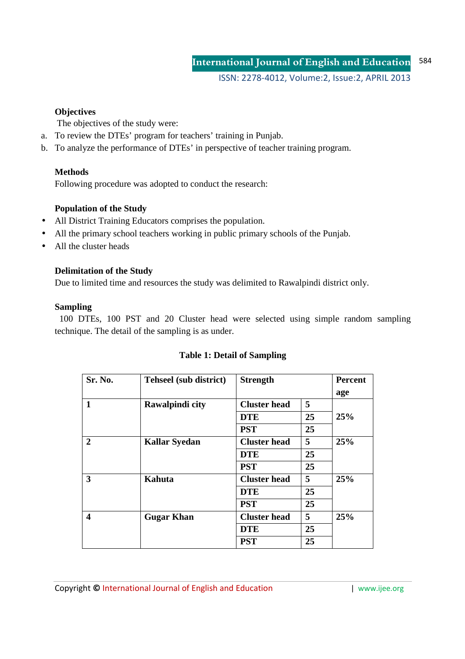ISSN: 2278-4012, Volume:2, Issue:2, APRIL 2013

## **Objectives**

The objectives of the study were:

- a. To review the DTEs' program for teachers' training in Punjab.
- b. To analyze the performance of DTEs' in perspective of teacher training program.

## **Methods**

Following procedure was adopted to conduct the research:

## **Population of the Study**

- All District Training Educators comprises the population.
- All the primary school teachers working in public primary schools of the Punjab.
- All the cluster heads

## **Delimitation of the Study**

Due to limited time and resources the study was delimited to Rawalpindi district only.

## **Sampling**

 100 DTEs, 100 PST and 20 Cluster head were selected using simple random sampling technique. The detail of the sampling is as under.

| Sr. No.                 | Tehseel (sub district) | <b>Strength</b>     |    | <b>Percent</b><br>age |  |
|-------------------------|------------------------|---------------------|----|-----------------------|--|
| 1                       | Rawalpindi city        | <b>Cluster</b> head | 5  |                       |  |
|                         |                        | <b>DTE</b>          | 25 | 25%                   |  |
|                         |                        | <b>PST</b>          | 25 |                       |  |
| $\overline{2}$          | <b>Kallar Syedan</b>   | <b>Cluster head</b> | 5  | 25%                   |  |
|                         |                        | <b>DTE</b>          | 25 |                       |  |
|                         |                        | <b>PST</b>          | 25 |                       |  |
| $\mathbf{3}$            | Kahuta                 | <b>Cluster</b> head | 5  | 25%                   |  |
|                         |                        | <b>DTE</b>          | 25 |                       |  |
|                         |                        | <b>PST</b>          | 25 |                       |  |
| $\overline{\mathbf{4}}$ | <b>Gugar Khan</b>      | <b>Cluster</b> head | 5  | 25%                   |  |
|                         |                        | <b>DTE</b>          | 25 |                       |  |
|                         |                        | <b>PST</b>          | 25 |                       |  |

## **Table 1: Detail of Sampling**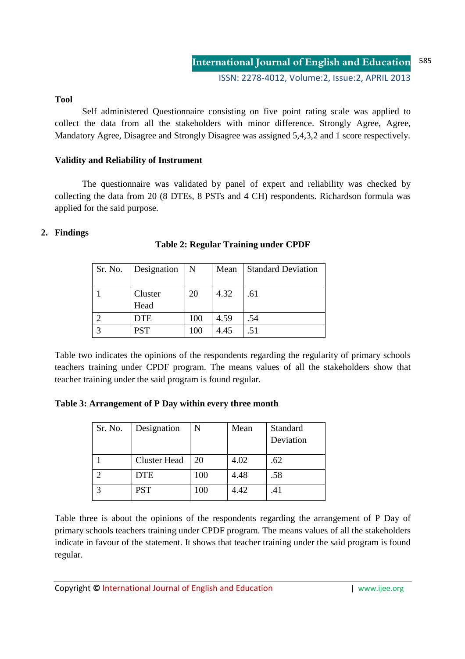#### **Tool**

Self administered Questionnaire consisting on five point rating scale was applied to collect the data from all the stakeholders with minor difference. Strongly Agree, Agree, Mandatory Agree, Disagree and Strongly Disagree was assigned 5,4,3,2 and 1 score respectively.

### **Validity and Reliability of Instrument**

The questionnaire was validated by panel of expert and reliability was checked by collecting the data from 20 (8 DTEs, 8 PSTs and 4 CH) respondents. Richardson formula was applied for the said purpose.

## **2. Findings**

| Sr. No.      | Designation | N   | Mean | <b>Standard Deviation</b> |
|--------------|-------------|-----|------|---------------------------|
|              |             |     |      |                           |
|              | Cluster     | 20  | 4.32 | .61                       |
|              | Head        |     |      |                           |
|              | <b>DTE</b>  | 100 | 4.59 | .54                       |
| $\mathbf{c}$ | <b>PST</b>  | 100 | 4.45 | .51                       |

**Table 2: Regular Training under CPDF** 

Table two indicates the opinions of the respondents regarding the regularity of primary schools teachers training under CPDF program. The means values of all the stakeholders show that teacher training under the said program is found regular.

**Table 3: Arrangement of P Day within every three month** 

| Sr. No. | Designation         | N   | Mean | Standard  |
|---------|---------------------|-----|------|-----------|
|         |                     |     |      | Deviation |
|         | <b>Cluster Head</b> | 20  | 4.02 | .62       |
|         | <b>DTE</b>          | 100 | 4.48 | .58       |
| ⌒       | <b>PST</b>          | 100 | 4.42 | .41       |

Table three is about the opinions of the respondents regarding the arrangement of P Day of primary schools teachers training under CPDF program. The means values of all the stakeholders indicate in favour of the statement. It shows that teacher training under the said program is found regular.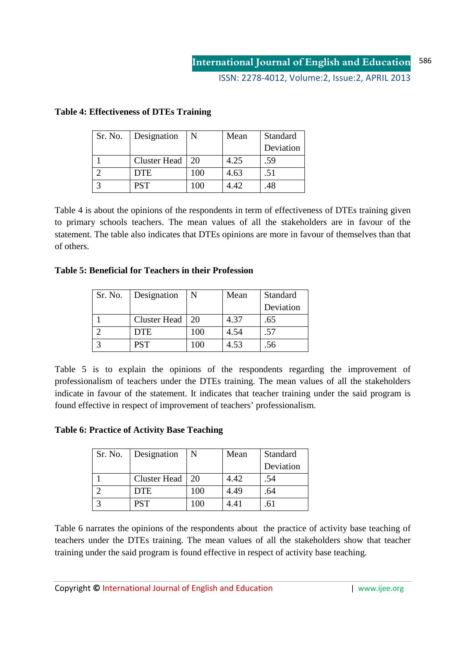ISSN: 2278-4012, Volume:2, Issue:2, APRIL 2013

| Sr. No. | Designation         | N   | Mean  | Standard  |
|---------|---------------------|-----|-------|-----------|
|         |                     |     |       | Deviation |
|         | <b>Cluster Head</b> | 20  | 4.25  | .59       |
|         | <b>DTE</b>          | 100 | 4.63  | .51       |
| っ       | <b>PST</b>          | 100 | 4 42. | .48       |

### **Table 4: Effectiveness of DTEs Training**

Table 4 is about the opinions of the respondents in term of effectiveness of DTEs training given to primary schools teachers. The mean values of all the stakeholders are in favour of the statement. The table also indicates that DTEs opinions are more in favour of themselves than that of others.

## **Table 5: Beneficial for Teachers in their Profession**

| Sr. No. | Designation         | N   | Mean | Standard  |  |
|---------|---------------------|-----|------|-----------|--|
|         |                     |     |      | Deviation |  |
|         | <b>Cluster Head</b> | 20  | 4.37 | .65       |  |
|         | DTE                 | 100 | 4.54 | .57       |  |
| ◠       | <b>PST</b>          | 100 | 4.53 | .56       |  |

Table 5 is to explain the opinions of the respondents regarding the improvement of professionalism of teachers under the DTEs training. The mean values of all the stakeholders indicate in favour of the statement. It indicates that teacher training under the said program is found effective in respect of improvement of teachers' professionalism.

**Table 6: Practice of Activity Base Teaching** 

| Sr. No. | Designation         | N   | Mean | Standard  |
|---------|---------------------|-----|------|-----------|
|         |                     |     |      | Deviation |
|         | <b>Cluster Head</b> | 20  | 4.42 | .54       |
|         | <b>DTE</b>          | 100 | 4.49 | .64       |
| ⌒       | <b>PST</b>          | 100 | 4.41 |           |

Table 6 narrates the opinions of the respondents about the practice of activity base teaching of teachers under the DTEs training. The mean values of all the stakeholders show that teacher training under the said program is found effective in respect of activity base teaching.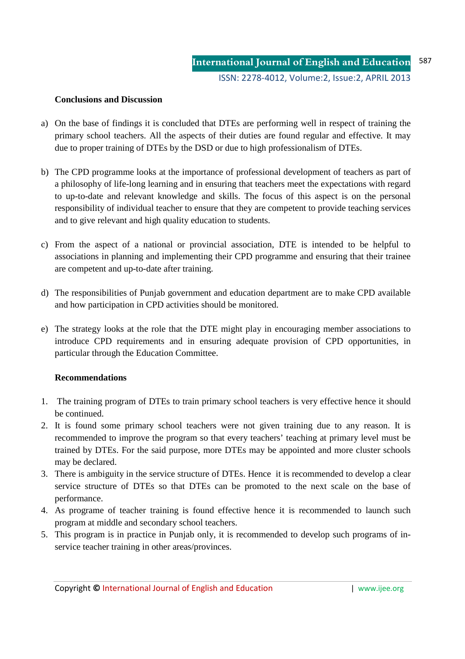### **Conclusions and Discussion**

- a) On the base of findings it is concluded that DTEs are performing well in respect of training the primary school teachers. All the aspects of their duties are found regular and effective. It may due to proper training of DTEs by the DSD or due to high professionalism of DTEs.
- b) The CPD programme looks at the importance of professional development of teachers as part of a philosophy of life-long learning and in ensuring that teachers meet the expectations with regard to up-to-date and relevant knowledge and skills. The focus of this aspect is on the personal responsibility of individual teacher to ensure that they are competent to provide teaching services and to give relevant and high quality education to students.
- c) From the aspect of a national or provincial association, DTE is intended to be helpful to associations in planning and implementing their CPD programme and ensuring that their trainee are competent and up-to-date after training.
- d) The responsibilities of Punjab government and education department are to make CPD available and how participation in CPD activities should be monitored.
- e) The strategy looks at the role that the DTE might play in encouraging member associations to introduce CPD requirements and in ensuring adequate provision of CPD opportunities, in particular through the Education Committee.

#### **Recommendations**

- 1. The training program of DTEs to train primary school teachers is very effective hence it should be continued.
- 2. It is found some primary school teachers were not given training due to any reason. It is recommended to improve the program so that every teachers' teaching at primary level must be trained by DTEs. For the said purpose, more DTEs may be appointed and more cluster schools may be declared.
- 3. There is ambiguity in the service structure of DTEs. Hence it is recommended to develop a clear service structure of DTEs so that DTEs can be promoted to the next scale on the base of performance.
- 4. As programe of teacher training is found effective hence it is recommended to launch such program at middle and secondary school teachers.
- 5. This program is in practice in Punjab only, it is recommended to develop such programs of inservice teacher training in other areas/provinces.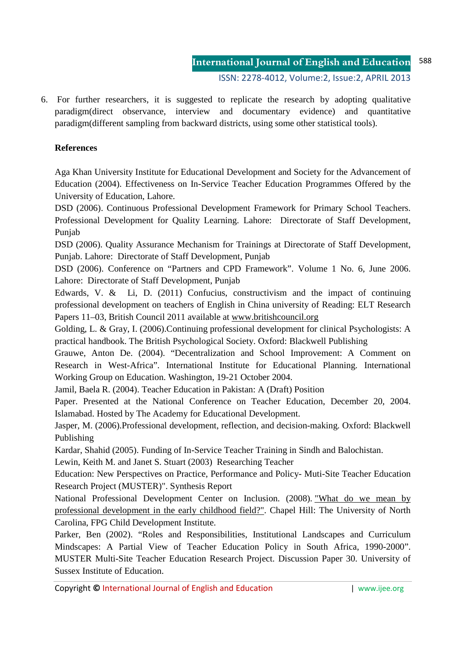6. For further researchers, it is suggested to replicate the research by adopting qualitative paradigm(direct observance, interview and documentary evidence) and quantitative paradigm(different sampling from backward districts, using some other statistical tools).

## **References**

Aga Khan University Institute for Educational Development and Society for the Advancement of Education (2004). Effectiveness on In-Service Teacher Education Programmes Offered by the University of Education, Lahore.

DSD (2006). Continuous Professional Development Framework for Primary School Teachers. Professional Development for Quality Learning. Lahore: Directorate of Staff Development, Punjab

DSD (2006). Quality Assurance Mechanism for Trainings at Directorate of Staff Development, Punjab. Lahore: Directorate of Staff Development, Punjab

DSD (2006). Conference on "Partners and CPD Framework". Volume 1 No. 6, June 2006. Lahore: Directorate of Staff Development, Punjab

Edwards, V. & Li, D. (2011) Confucius, constructivism and the impact of continuing professional development on teachers of English in China university of Reading: ELT Research Papers 11–03, British Council 2011 available at www.britishcouncil.org

Golding, L. & Gray, I. (2006).Continuing professional development for clinical Psychologists: A practical handbook. The British Psychological Society. Oxford: Blackwell Publishing

Grauwe, Anton De. (2004). "Decentralization and School Improvement: A Comment on Research in West-Africa". International Institute for Educational Planning. International Working Group on Education. Washington, 19-21 October 2004.

Jamil, Baela R. (2004). Teacher Education in Pakistan: A (Draft) Position

Paper. Presented at the National Conference on Teacher Education, December 20, 2004. Islamabad. Hosted by The Academy for Educational Development.

Jasper, M. (2006).Professional development, reflection, and decision-making. Oxford: Blackwell Publishing

Kardar, Shahid (2005). Funding of In-Service Teacher Training in Sindh and Balochistan.

Lewin, Keith M. and Janet S. Stuart (2003) Researching Teacher

Education: New Perspectives on Practice, Performance and Policy- Muti-Site Teacher Education Research Project (MUSTER)". Synthesis Report

National Professional Development Center on Inclusion. (2008). "What do we mean by professional development in the early childhood field?". Chapel Hill: The University of North Carolina, FPG Child Development Institute.

Parker, Ben (2002). "Roles and Responsibilities, Institutional Landscapes and Curriculum Mindscapes: A Partial View of Teacher Education Policy in South Africa, 1990-2000". MUSTER Multi-Site Teacher Education Research Project. Discussion Paper 30. University of Sussex Institute of Education.